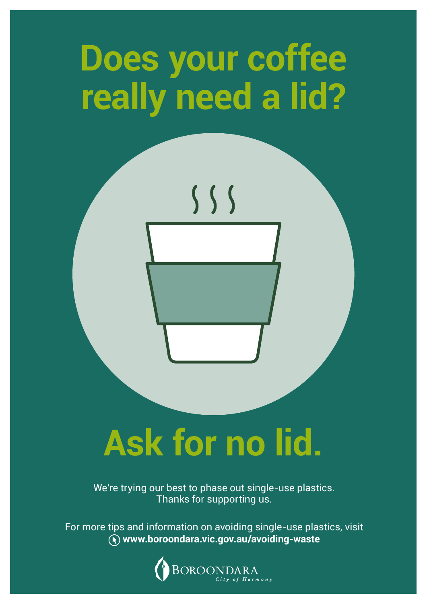## **Does your coffee really need a lid?**



# **Ask for no lid.**

We're trying our best to phase out single-use plastics. Thanks for supporting us.

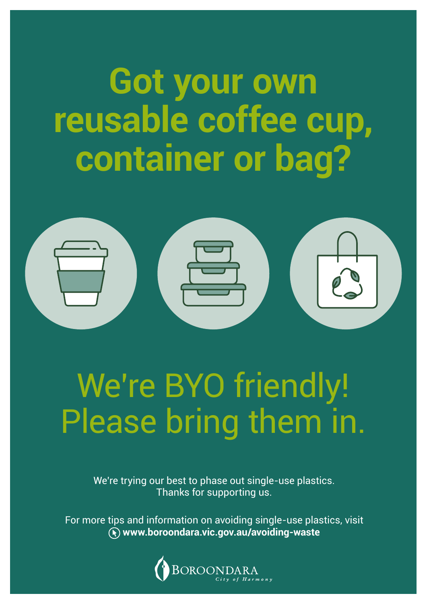#### **Got your own reusable coffee cup, container or bag?**



#### We're BYO friendly! Please bring them in.

We're trying our best to phase out single-use plastics. Thanks for supporting us.

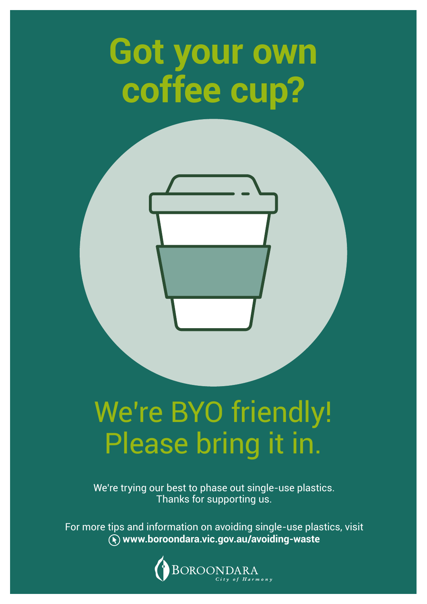### **Got your own coffee cup?**

#### We're BYO friendly! Please bring it in.

We're trying our best to phase out single-use plastics. Thanks for supporting us.

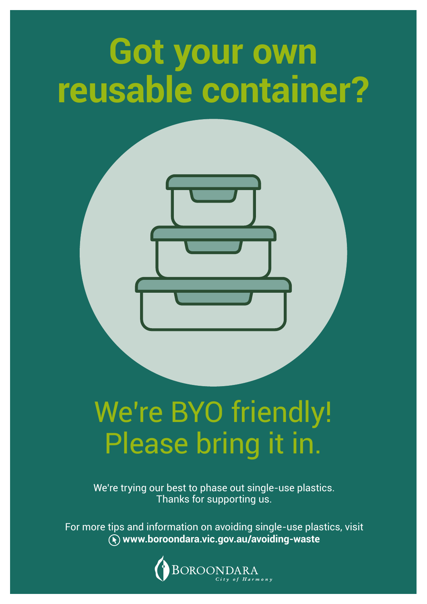### **Got your own reusable container?**

#### We're BYO friendly! Please bring it in.

We're trying our best to phase out single-use plastics. Thanks for supporting us.

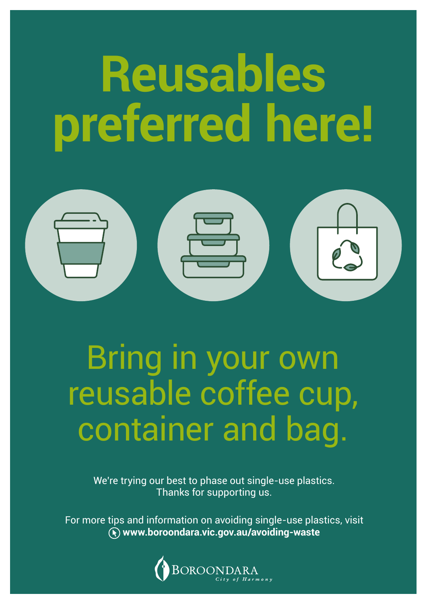# **Reusables preferred here!**



#### container and bag. Bring in your own reusable coffee cup,

We're trying our best to phase out single-use plastics. Thanks for supporting us.

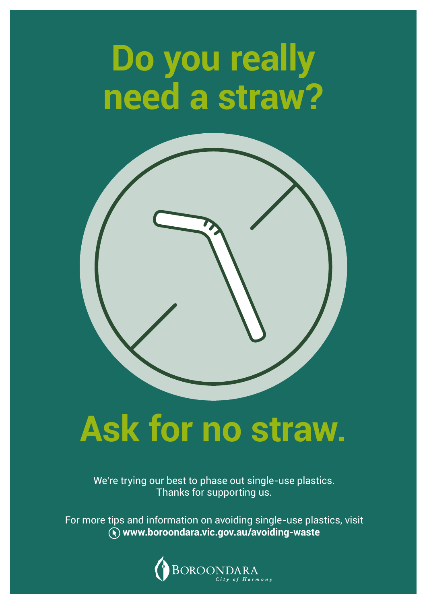### **Do you really need a straw?**



#### **Ask for no straw.**

We're trying our best to phase out single-use plastics. Thanks for supporting us.

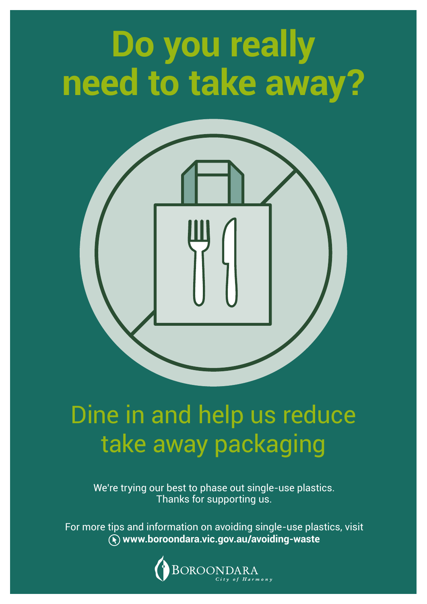## **Do you really need to take away?**



#### Dine in and help us reduce take away packaging

We're trying our best to phase out single-use plastics. Thanks for supporting us.

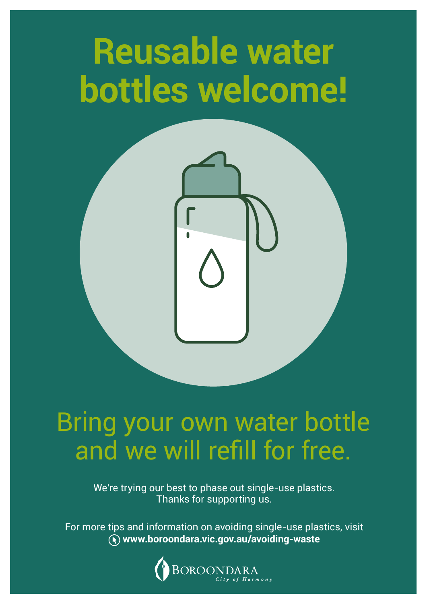### **Reusable water bottles welcome!**



#### Bring your own water bottle and we will refill for free.

We're trying our best to phase out single-use plastics. Thanks for supporting us.